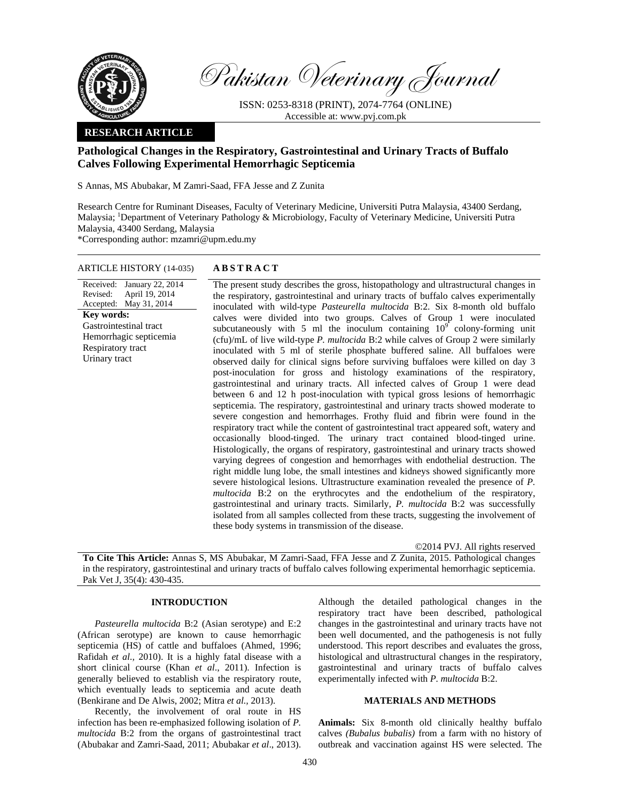

Pakistan Veterinary Journal

ISSN: 0253-8318 (PRINT), 2074-7764 (ONLINE) Accessible at: www.pvj.com.pk

### **RESEARCH ARTICLE**

# **Pathological Changes in the Respiratory, Gastrointestinal and Urinary Tracts of Buffalo Calves Following Experimental Hemorrhagic Septicemia**

S Annas, MS Abubakar, M Zamri-Saad, FFA Jesse and Z Zunita

Research Centre for Ruminant Diseases, Faculty of Veterinary Medicine, Universiti Putra Malaysia, 43400 Serdang, Malaysia; <sup>1</sup>Department of Veterinary Pathology & Microbiology, Faculty of Veterinary Medicine, Universiti Putra Malaysia, 43400 Serdang, Malaysia

\*Corresponding author: mzamri@upm.edu.my

## ARTICLE HISTORY (14-035) **ABSTRACT**

Received: January 22, 2014 Revised: Accepted: May 31, 2014 April 19, 2014 **Key words:**  Gastrointestinal tract Hemorrhagic septicemia Respiratory tract Urinary tract

 The present study describes the gross, histopathology and ultrastructural changes in the respiratory, gastrointestinal and urinary tracts of buffalo calves experimentally inoculated with wild-type *Pasteurella multocida* B:2. Six 8-month old buffalo calves were divided into two groups. Calves of Group 1 were inoculated subcutaneously with 5 ml the inoculum containing  $10^{\circ}$  colony-forming unit (cfu)/mL of live wild-type *P. multocida* B:2 while calves of Group 2 were similarly inoculated with 5 ml of sterile phosphate buffered saline. All buffaloes were observed daily for clinical signs before surviving buffaloes were killed on day 3 post-inoculation for gross and histology examinations of the respiratory, gastrointestinal and urinary tracts. All infected calves of Group 1 were dead between 6 and 12 h post-inoculation with typical gross lesions of hemorrhagic septicemia. The respiratory, gastrointestinal and urinary tracts showed moderate to severe congestion and hemorrhages. Frothy fluid and fibrin were found in the respiratory tract while the content of gastrointestinal tract appeared soft, watery and occasionally blood-tinged. The urinary tract contained blood-tinged urine. Histologically, the organs of respiratory, gastrointestinal and urinary tracts showed varying degrees of congestion and hemorrhages with endothelial destruction. The right middle lung lobe, the small intestines and kidneys showed significantly more severe histological lesions. Ultrastructure examination revealed the presence of *P. multocida* B:2 on the erythrocytes and the endothelium of the respiratory, gastrointestinal and urinary tracts. Similarly, *P. multocida* B:2 was successfully isolated from all samples collected from these tracts, suggesting the involvement of these body systems in transmission of the disease.

©2014 PVJ. All rights reserved

**To Cite This Article:** Annas S, MS Abubakar, M Zamri-Saad, FFA Jesse and Z Zunita, 2015. Pathological changes in the respiratory, gastrointestinal and urinary tracts of buffalo calves following experimental hemorrhagic septicemia. Pak Vet J, 35(4): 430-435.

## **INTRODUCTION**

*Pasteurella multocida* B:2 (Asian serotype) and E:2 (African serotype) are known to cause hemorrhagic septicemia (HS) of cattle and buffaloes (Ahmed, 1996; Rafidah *et al.,* 2010). It is a highly fatal disease with a short clinical course (Khan *et al*., 2011). Infection is generally believed to establish via the respiratory route, which eventually leads to septicemia and acute death (Benkirane and De Alwis, 2002; Mitra *et al.,* 2013).

Recently, the involvement of oral route in HS infection has been re-emphasized following isolation of *P. multocida* B:2 from the organs of gastrointestinal tract (Abubakar and Zamri-Saad, 2011; Abubakar *et al*., 2013).

Although the detailed pathological changes in the respiratory tract have been described, pathological changes in the gastrointestinal and urinary tracts have not been well documented, and the pathogenesis is not fully understood. This report describes and evaluates the gross, histological and ultrastructural changes in the respiratory, gastrointestinal and urinary tracts of buffalo calves experimentally infected with *P. multocida* B:2.

## **MATERIALS AND METHODS**

**Animals:** Six 8-month old clinically healthy buffalo calves *(Bubalus bubalis)* from a farm with no history of outbreak and vaccination against HS were selected. The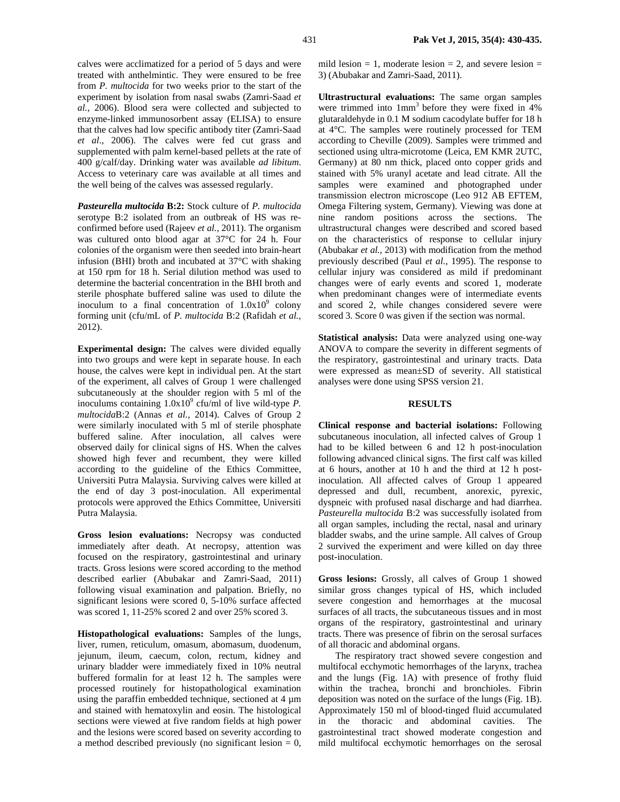calves were acclimatized for a period of 5 days and were treated with anthelmintic. They were ensured to be free from *P. multocida* for two weeks prior to the start of the experiment by isolation from nasal swabs (Zamri-Saad *et al.*, 2006). Blood sera were collected and subjected to enzyme-linked immunosorbent assay (ELISA) to ensure that the calves had low specific antibody titer (Zamri-Saad *et al*., 2006). The calves were fed cut grass and supplemented with palm kernel-based pellets at the rate of 400 g/calf/day. Drinking water was available *ad libitum*. Access to veterinary care was available at all times and the well being of the calves was assessed regularly.

*Pasteurella multocida* **B:2:** Stock culture of *P. multocida*  serotype B:2 isolated from an outbreak of HS was reconfirmed before used (Rajeev *et al.,* 2011). The organism was cultured onto blood agar at 37°C for 24 h. Four colonies of the organism were then seeded into brain-heart infusion (BHI) broth and incubated at 37°C with shaking at 150 rpm for 18 h. Serial dilution method was used to determine the bacterial concentration in the BHI broth and sterile phosphate buffered saline was used to dilute the inoculum to a final concentration of  $1.0x10^9$  colony forming unit (cfu/mL of *P. multocida* B:2 (Rafidah *et al.,*  2012).

**Experimental design:** The calves were divided equally into two groups and were kept in separate house. In each house, the calves were kept in individual pen. At the start of the experiment, all calves of Group 1 were challenged subcutaneously at the shoulder region with 5 ml of the inoculums containing  $1.0x10^9$  cfu/ml of live wild-type *P*. *multocida*B:2 (Annas *et al.,* 2014). Calves of Group 2 were similarly inoculated with 5 ml of sterile phosphate buffered saline. After inoculation, all calves were observed daily for clinical signs of HS. When the calves showed high fever and recumbent, they were killed according to the guideline of the Ethics Committee, Universiti Putra Malaysia. Surviving calves were killed at the end of day 3 post-inoculation. All experimental protocols were approved the Ethics Committee, Universiti Putra Malaysia.

**Gross lesion evaluations:** Necropsy was conducted immediately after death. At necropsy, attention was focused on the respiratory, gastrointestinal and urinary tracts. Gross lesions were scored according to the method described earlier (Abubakar and Zamri-Saad, 2011) following visual examination and palpation. Briefly, no significant lesions were scored 0, 5-10% surface affected was scored 1, 11-25% scored 2 and over 25% scored 3.

**Histopathological evaluations:** Samples of the lungs, liver, rumen, reticulum, omasum, abomasum, duodenum, jejunum, ileum, caecum, colon, rectum, kidney and urinary bladder were immediately fixed in 10% neutral buffered formalin for at least 12 h. The samples were processed routinely for histopathological examination using the paraffin embedded technique, sectioned at  $4 \mu m$ and stained with hematoxylin and eosin. The histological sections were viewed at five random fields at high power and the lesions were scored based on severity according to a method described previously (no significant lesion  $= 0$ ,

mild lesion  $= 1$ , moderate lesion  $= 2$ , and severe lesion  $=$ 3) (Abubakar and Zamri-Saad, 2011).

**Ultrastructural evaluations:** The same organ samples were trimmed into  $1mm<sup>3</sup>$  before they were fixed in 4% glutaraldehyde in 0.1 M sodium cacodylate buffer for 18 h at 4°C. The samples were routinely processed for TEM according to Cheville (2009). Samples were trimmed and sectioned using ultra-microtome (Leica, EM KMR 2UTC, Germany) at 80 nm thick, placed onto copper grids and stained with 5% uranyl acetate and lead citrate. All the samples were examined and photographed under transmission electron microscope (Leo 912 AB EFTEM, Omega Filtering system, Germany). Viewing was done at nine random positions across the sections. The ultrastructural changes were described and scored based on the characteristics of response to cellular injury (Abubakar *et al.,* 2013) with modification from the method previously described (Paul *et al.*, 1995). The response to cellular injury was considered as mild if predominant changes were of early events and scored 1, moderate when predominant changes were of intermediate events and scored 2, while changes considered severe were scored 3. Score 0 was given if the section was normal.

**Statistical analysis:** Data were analyzed using one-way ANOVA to compare the severity in different segments of the respiratory, gastrointestinal and urinary tracts. Data were expressed as mean±SD of severity. All statistical analyses were done using SPSS version 21.

#### **RESULTS**

**Clinical response and bacterial isolations:** Following subcutaneous inoculation, all infected calves of Group 1 had to be killed between 6 and 12 h post-inoculation following advanced clinical signs. The first calf was killed at 6 hours, another at 10 h and the third at 12 h postinoculation. All affected calves of Group 1 appeared depressed and dull, recumbent, anorexic, pyrexic, dyspneic with profused nasal discharge and had diarrhea. *Pasteurella multocida* B:2 was successfully isolated from all organ samples, including the rectal, nasal and urinary bladder swabs, and the urine sample. All calves of Group 2 survived the experiment and were killed on day three post-inoculation.

**Gross lesions:** Grossly, all calves of Group 1 showed similar gross changes typical of HS, which included severe congestion and hemorrhages at the mucosal surfaces of all tracts, the subcutaneous tissues and in most organs of the respiratory, gastrointestinal and urinary tracts. There was presence of fibrin on the serosal surfaces of all thoracic and abdominal organs.

The respiratory tract showed severe congestion and multifocal ecchymotic hemorrhages of the larynx, trachea and the lungs (Fig. 1A) with presence of frothy fluid within the trachea, bronchi and bronchioles. Fibrin deposition was noted on the surface of the lungs (Fig. 1B). Approximately 150 ml of blood-tinged fluid accumulated in the thoracic and abdominal cavities. The gastrointestinal tract showed moderate congestion and mild multifocal ecchymotic hemorrhages on the serosal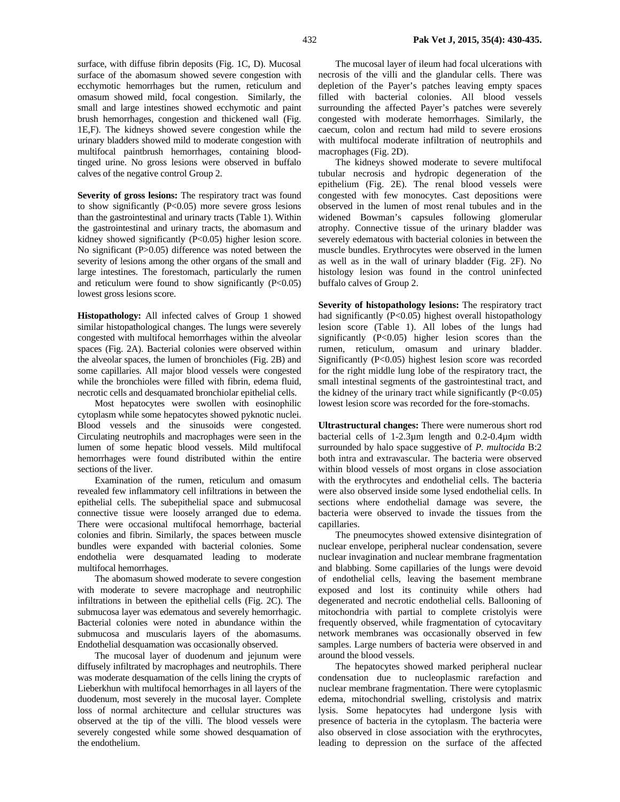surface, with diffuse fibrin deposits (Fig. 1C, D). Mucosal surface of the abomasum showed severe congestion with ecchymotic hemorrhages but the rumen, reticulum and omasum showed mild, focal congestion. Similarly, the small and large intestines showed ecchymotic and paint brush hemorrhages, congestion and thickened wall (Fig. 1E,F). The kidneys showed severe congestion while the urinary bladders showed mild to moderate congestion with multifocal paintbrush hemorrhages, containing bloodtinged urine. No gross lesions were observed in buffalo calves of the negative control Group 2.

**Severity of gross lesions:** The respiratory tract was found to show significantly  $(P<0.05)$  more severe gross lesions than the gastrointestinal and urinary tracts (Table 1). Within the gastrointestinal and urinary tracts, the abomasum and kidney showed significantly (P<0.05) higher lesion score. No significant (P>0.05) difference was noted between the severity of lesions among the other organs of the small and large intestines. The forestomach, particularly the rumen and reticulum were found to show significantly  $(P<0.05)$ lowest gross lesions score.

**Histopathology:** All infected calves of Group 1 showed similar histopathological changes. The lungs were severely congested with multifocal hemorrhages within the alveolar spaces (Fig. 2A). Bacterial colonies were observed within the alveolar spaces, the lumen of bronchioles (Fig. 2B) and some capillaries. All major blood vessels were congested while the bronchioles were filled with fibrin, edema fluid, necrotic cells and desquamated bronchiolar epithelial cells.

Most hepatocytes were swollen with eosinophilic cytoplasm while some hepatocytes showed pyknotic nuclei. Blood vessels and the sinusoids were congested. Circulating neutrophils and macrophages were seen in the lumen of some hepatic blood vessels. Mild multifocal hemorrhages were found distributed within the entire sections of the liver.

Examination of the rumen, reticulum and omasum revealed few inflammatory cell infiltrations in between the epithelial cells. The subepithelial space and submucosal connective tissue were loosely arranged due to edema. There were occasional multifocal hemorrhage, bacterial colonies and fibrin. Similarly, the spaces between muscle bundles were expanded with bacterial colonies. Some endothelia were desquamated leading to moderate multifocal hemorrhages.

The abomasum showed moderate to severe congestion with moderate to severe macrophage and neutrophilic infiltrations in between the epithelial cells (Fig. 2C). The submucosa layer was edematous and severely hemorrhagic. Bacterial colonies were noted in abundance within the submucosa and muscularis layers of the abomasums. Endothelial desquamation was occasionally observed.

The mucosal layer of duodenum and jejunum were diffusely infiltrated by macrophages and neutrophils. There was moderate desquamation of the cells lining the crypts of Lieberkhun with multifocal hemorrhages in all layers of the duodenum, most severely in the mucosal layer. Complete loss of normal architecture and cellular structures was observed at the tip of the villi. The blood vessels were severely congested while some showed desquamation of the endothelium.

The mucosal layer of ileum had focal ulcerations with necrosis of the villi and the glandular cells. There was depletion of the Payer's patches leaving empty spaces filled with bacterial colonies. All blood vessels surrounding the affected Payer's patches were severely congested with moderate hemorrhages. Similarly, the caecum, colon and rectum had mild to severe erosions with multifocal moderate infiltration of neutrophils and macrophages (Fig. 2D).

The kidneys showed moderate to severe multifocal tubular necrosis and hydropic degeneration of the epithelium (Fig. 2E). The renal blood vessels were congested with few monocytes. Cast depositions were observed in the lumen of most renal tubules and in the widened Bowman's capsules following glomerular atrophy. Connective tissue of the urinary bladder was severely edematous with bacterial colonies in between the muscle bundles. Erythrocytes were observed in the lumen as well as in the wall of urinary bladder (Fig. 2F). No histology lesion was found in the control uninfected buffalo calves of Group 2.

**Severity of histopathology lesions:** The respiratory tract had significantly (P<0.05) highest overall histopathology lesion score (Table 1). All lobes of the lungs had significantly (P<0.05) higher lesion scores than the rumen, reticulum, omasum and urinary bladder. Significantly (P<0.05) highest lesion score was recorded for the right middle lung lobe of the respiratory tract, the small intestinal segments of the gastrointestinal tract, and the kidney of the urinary tract while significantly  $(P<0.05)$ lowest lesion score was recorded for the fore-stomachs.

**Ultrastructural changes:** There were numerous short rod bacterial cells of 1-2.3µm length and 0.2-0.4µm width surrounded by halo space suggestive of *P. multocida* B:2 both intra and extravascular. The bacteria were observed within blood vessels of most organs in close association with the erythrocytes and endothelial cells. The bacteria were also observed inside some lysed endothelial cells. In sections where endothelial damage was severe, the bacteria were observed to invade the tissues from the capillaries.

The pneumocytes showed extensive disintegration of nuclear envelope, peripheral nuclear condensation, severe nuclear invagination and nuclear membrane fragmentation and blabbing. Some capillaries of the lungs were devoid of endothelial cells, leaving the basement membrane exposed and lost its continuity while others had degenerated and necrotic endothelial cells. Ballooning of mitochondria with partial to complete cristolyis were frequently observed, while fragmentation of cytocavitary network membranes was occasionally observed in few samples. Large numbers of bacteria were observed in and around the blood vessels.

The hepatocytes showed marked peripheral nuclear condensation due to nucleoplasmic rarefaction and nuclear membrane fragmentation. There were cytoplasmic edema, mitochondrial swelling, cristolysis and matrix lysis. Some hepatocytes had undergone lysis with presence of bacteria in the cytoplasm. The bacteria were also observed in close association with the erythrocytes, leading to depression on the surface of the affected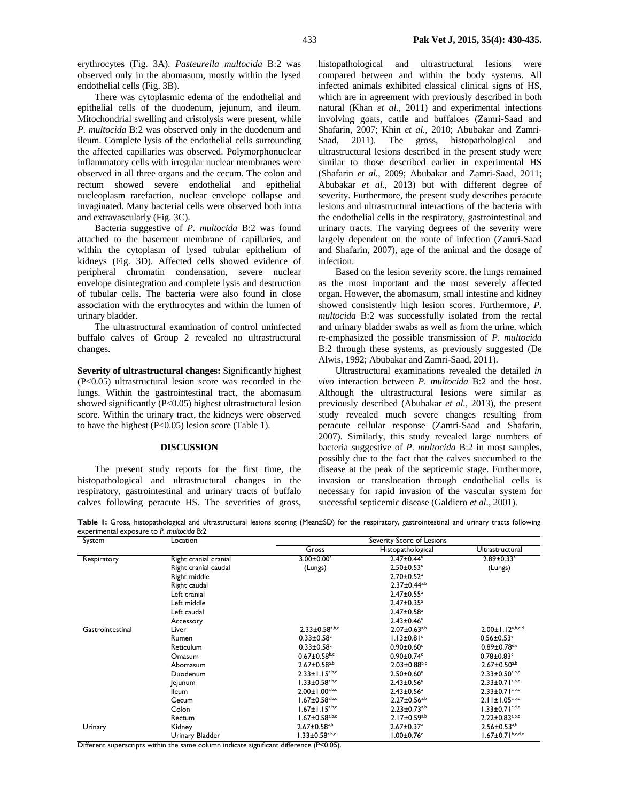erythrocytes (Fig. 3A). *Pasteurella multocida* B:2 was observed only in the abomasum, mostly within the lysed endothelial cells (Fig. 3B).

There was cytoplasmic edema of the endothelial and epithelial cells of the duodenum, jejunum, and ileum. Mitochondrial swelling and cristolysis were present, while *P. multocida* B:2 was observed only in the duodenum and ileum. Complete lysis of the endothelial cells surrounding the affected capillaries was observed. Polymorphonuclear inflammatory cells with irregular nuclear membranes were observed in all three organs and the cecum. The colon and rectum showed severe endothelial and epithelial nucleoplasm rarefaction, nuclear envelope collapse and invaginated. Many bacterial cells were observed both intra and extravascularly (Fig. 3C).

Bacteria suggestive of *P. multocida* B:2 was found attached to the basement membrane of capillaries, and within the cytoplasm of lysed tubular epithelium of kidneys (Fig. 3D). Affected cells showed evidence of peripheral chromatin condensation, severe nuclear envelope disintegration and complete lysis and destruction of tubular cells. The bacteria were also found in close association with the erythrocytes and within the lumen of urinary bladder.

The ultrastructural examination of control uninfected buffalo calves of Group 2 revealed no ultrastructural changes.

**Severity of ultrastructural changes:** Significantly highest (P<0.05) ultrastructural lesion score was recorded in the lungs. Within the gastrointestinal tract, the abomasum showed significantly (P<0.05) highest ultrastructural lesion score. Within the urinary tract, the kidneys were observed to have the highest  $(P<0.05)$  lesion score (Table 1).

#### **DISCUSSION**

 The present study reports for the first time, the histopathological and ultrastructural changes in the respiratory, gastrointestinal and urinary tracts of buffalo calves following peracute HS. The severities of gross,

histopathological and ultrastructural lesions were compared between and within the body systems. All infected animals exhibited classical clinical signs of HS, which are in agreement with previously described in both natural (Khan *et al.,* 2011) and experimental infections involving goats, cattle and buffaloes (Zamri-Saad and Shafarin, 2007; Khin *et al.,* 2010; Abubakar and Zamri-Saad, 2011). The gross, histopathological and ultrastructural lesions described in the present study were similar to those described earlier in experimental HS (Shafarin *et al.*, 2009; Abubakar and Zamri-Saad, 2011; Abubakar *et al.*, 2013) but with different degree of severity. Furthermore, the present study describes peracute lesions and ultrastructural interactions of the bacteria with the endothelial cells in the respiratory, gastrointestinal and urinary tracts. The varying degrees of the severity were largely dependent on the route of infection (Zamri-Saad and Shafarin, 2007), age of the animal and the dosage of infection.

 Based on the lesion severity score, the lungs remained as the most important and the most severely affected organ. However, the abomasum, small intestine and kidney showed consistently high lesion scores. Furthermore, *P. multocida* B:2 was successfully isolated from the rectal and urinary bladder swabs as well as from the urine, which re-emphasized the possible transmission of *P. multocida*  B:2 through these systems, as previously suggested (De Alwis, 1992; Abubakar and Zamri-Saad, 2011).

 Ultrastructural examinations revealed the detailed *in vivo* interaction between *P. multocida* B:2 and the host. Although the ultrastructural lesions were similar as previously described (Abubakar *et al.*, 2013), the present study revealed much severe changes resulting from peracute cellular response (Zamri-Saad and Shafarin, 2007). Similarly, this study revealed large numbers of bacteria suggestive of *P. multocida* B:2 in most samples, possibly due to the fact that the calves succumbed to the disease at the peak of the septicemic stage. Furthermore, invasion or translocation through endothelial cells is necessary for rapid invasion of the vascular system for successful septicemic disease (Galdiero *et al*., 2001).

Table 1: Gross, histopathological and ultrastructural lesions scoring (Mean±SD) for the respiratory, gastrointestinal and urinary tracts following experimental exposure to *P. multocida* B:2

| System           | Location              | Severity Score of Lesions        |                                |                                |
|------------------|-----------------------|----------------------------------|--------------------------------|--------------------------------|
|                  |                       | Gross                            | Histopathological              | Ultrastructural                |
| Respiratory      | Right cranial cranial | $3.00 \pm 0.00$ <sup>a</sup>     | $2.47 \pm 0.44$ <sup>a</sup>   | $2.89 \pm 0.33$ <sup>a</sup>   |
|                  | Right cranial caudal  | (Lungs)                          | $2.50 \pm 0.53$ <sup>a</sup>   | (Lungs)                        |
|                  | Right middle          |                                  | $2.70 \pm 0.52$ <sup>a</sup>   |                                |
|                  | Right caudal          |                                  | $2.37 \pm 0.44^{a,b}$          |                                |
|                  | Left cranial          |                                  | $2.47 \pm 0.55$ <sup>a</sup>   |                                |
|                  | Left middle           |                                  | $2.47 \pm 0.35$ <sup>a</sup>   |                                |
|                  | Left caudal           |                                  | $2.47 \pm 0.58$ <sup>a</sup>   |                                |
|                  | Accessory             |                                  | $2.43 \pm 0.46$ <sup>a</sup>   |                                |
| Gastrointestinal | Liver                 | $2.33 \pm 0.58$ <sub>a,b,c</sub> | $2.07 \pm 0.63^{a,b}$          | $2.00 \pm 1.12^{a,b,c,d}$      |
|                  | Rumen                 | $0.33 \pm 0.58$ c                | $1.13 \pm 0.81$ <sup>c</sup>   | $0.56 \pm 0.53$ <sup>e</sup>   |
|                  | Reticulum             | $0.33 \pm 0.58$ <sup>c</sup>     | $0.90 \pm 0.60$ <sup>c</sup>   | $0.89 \pm 0.78$ <sup>d,e</sup> |
|                  | Omasum                | $0.67 \pm 0.58$ <sub>b,c</sub>   | $0.90 \pm 0.74$ <sup>c</sup>   | $0.78 \pm 0.83$ <sup>e</sup>   |
|                  | Abomasum              | $2.67 \pm 0.58$ <sub>a,b</sub>   | $2.03 \pm 0.88$ <sub>b,c</sub> | $2.67 \pm 0.50^{a,b}$          |
|                  | Duodenum              | $2.33 \pm 1.15^{a,b,c}$          | $2.50 \pm 0.60^a$              | $2.33 \pm 0.50^{a,b,c}$        |
|                  | Jejunum               | $1.33 \pm 0.58$ <sup>a,b,c</sup> | $2.43 \pm 0.56$ <sup>a</sup>   | $2.33 \pm 0.71^{a,b,c}$        |
|                  | <b>Ileum</b>          | $2.00 \pm 1.00^{a,b,c}$          | $2.43 \pm 0.56$ <sup>a</sup>   | $2.33 \pm 0.71^{a,b,c}$        |
|                  | Cecum                 | $1.67 \pm 0.58$ <sub>a,b,c</sub> | $2.27 \pm 0.56$ <sup>a,b</sup> | $2.11 \pm 1.05^{a,b,c}$        |
|                  | Colon                 | $1.67 \pm 1.15^{a,b,c}$          | $2.23 \pm 0.73^{a,b}$          | $1.33 \pm 0.71$ c, d, e        |
|                  | Rectum                | $1.67 \pm 0.58$ <sub>a,b,c</sub> | $2.17 \pm 0.59^{a,b}$          | $2.22 \pm 0.83^{a,b,c}$        |
| Urinary          | Kidney                | $2.67 \pm 0.58$ <sup>a,b</sup>   | $2.67 \pm 0.37$ <sup>a</sup>   | $2.56 \pm 0.53^{a,b}$          |
|                  | Urinary Bladder       | $1.33 \pm 0.58$ <sub>a,b,c</sub> | $1.00 \pm 0.76$ <sup>c</sup>   | $1.67 \pm 0.71^{b,c,d,e}$      |

Different superscripts within the same column indicate significant difference (P<0.05).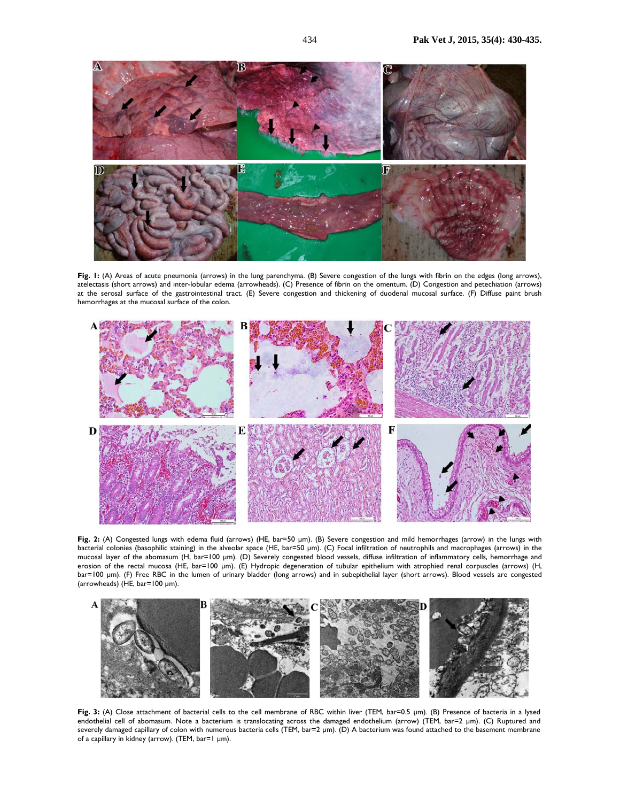

**Fig. 1:** (A) Areas of acute pneumonia (arrows) in the lung parenchyma. (B) Severe congestion of the lungs with fibrin on the edges (long arrows), atelectasis (short arrows) and inter-lobular edema (arrowheads). (C) Presence of fibrin on the omentum. (D) Congestion and petechiation (arrows) at the serosal surface of the gastrointestinal tract. (E) Severe congestion and thickening of duodenal mucosal surface. (F) Diffuse paint brush hemorrhages at the mucosal surface of the colon.



**Fig. 2:** (A) Congested lungs with edema fluid (arrows) (HE, bar=50 µm). (B) Severe congestion and mild hemorrhages (arrow) in the lungs with bacterial colonies (basophilic staining) in the alveolar space (HE, bar=50 µm). (C) Focal infiltration of neutrophils and macrophages (arrows) in the mucosal layer of the abomasum (H, bar=100 µm). (D) Severely congested blood vessels, diffuse infiltration of inflammatory cells, hemorrhage and erosion of the rectal mucosa (HE, bar=100 µm). (E) Hydropic degeneration of tubular epithelium with atrophied renal corpuscles (arrows) (H, bar=100 µm). (F) Free RBC in the lumen of urinary bladder (long arrows) and in subepithelial layer (short arrows). Blood vessels are congested (arrowheads) (HE, bar=100 µm).



Fig. 3: (A) Close attachment of bacterial cells to the cell membrane of RBC within liver (TEM, bar=0.5 µm). (B) Presence of bacteria in a lysed endothelial cell of abomasum. Note a bacterium is translocating across the damaged endothelium (arrow) (TEM, bar=2 µm). (C) Ruptured and severely damaged capillary of colon with numerous bacteria cells (TEM, bar=2 µm). (D) A bacterium was found attached to the basement membrane of a capillary in kidney (arrow). (TEM, bar=1 µm).